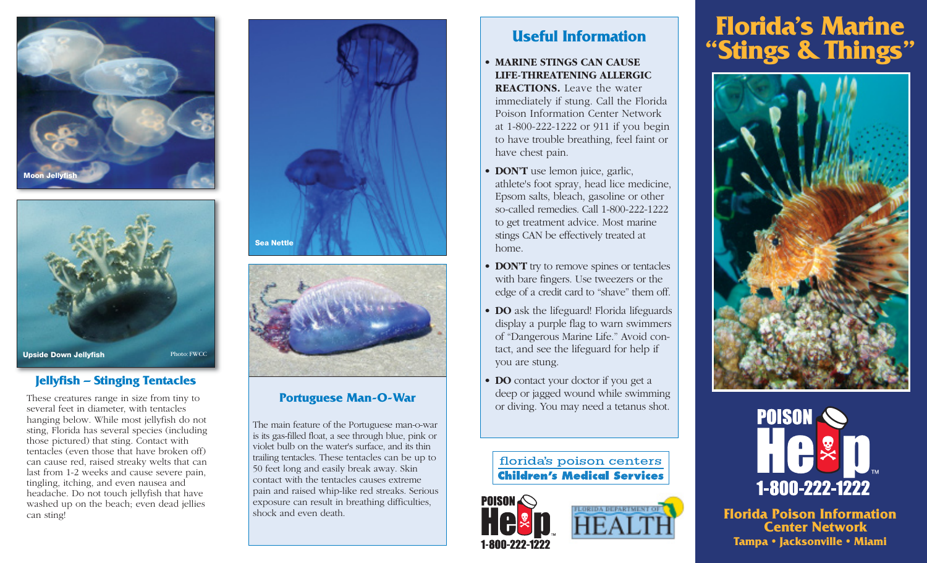



# **Jellyfish – Stinging Tentacles Jellyfish – Stinging Tentacles**

These creatures range in size from tiny to several feet in diameter, with tentacles hanging below. While most jellyfish do not sting, Florida has several species (including those pictured) that sting. Contact with tentacles (even those that have broken off) can cause red, raised streaky welts that can last from 1-2 weeks and cause severe pain, tingling, itching, and even nausea and headache. Do not touch jellyfish that have washed up on the beach; even dead jellies can sting!





The main feature of the Portuguese man-o-war is its gas-filled float, a see through blue, pink or violet bulb on the water's surface, and its thin trailing tentacles. These tentacles can be up to 50 feet long and easily break away. Skin contact with the tentacles causes extreme pain and raised whip-like red streaks. Serious exposure can result in breathing difficulties, shock and even death.

#### • **MARINE STINGS CAN CAUSE LIFE-THREATENING ALLERGIC**

**REACTIONS.** Leave the water immediately if stung. Call the Florida Poison Information Center Network at 1-800-222-1222 or 911 if you begin to have trouble breathing, feel faint or have chest pain.

- **DON'T** use lemon juice, garlic, athlete's foot spray, head lice medicine, Epsom salts, bleach, gasoline or other so-called remedies. Call 1-800-222-1222 to get treatment advice. Most marine stings CAN be effectively treated at home.
- **DON'T** try to remove spines or tentacles with bare fingers. Use tweezers or the edge of a credit card to "shave" them off.
- **DO** ask the lifeguard! Florida lifeguards display a purple flag to warn swimmers of "Dangerous Marine Life." Avoid contact, and see the lifeguard for help if you are stung.
- **DO** contact your doctor if you get a deep or jagged wound while swimming **Portuguese Man-O-War** deep or jagged wound while swimming<br>or diving. You may need a tetanus shot.

# florida's poison centers **Children's Medical Services**



# **Florida's Marine Useful Information<br>
<b>EXPRES CAN CAUSE**





**Florida Poison Information Center Network Tampa • Jacksonville • Miami**